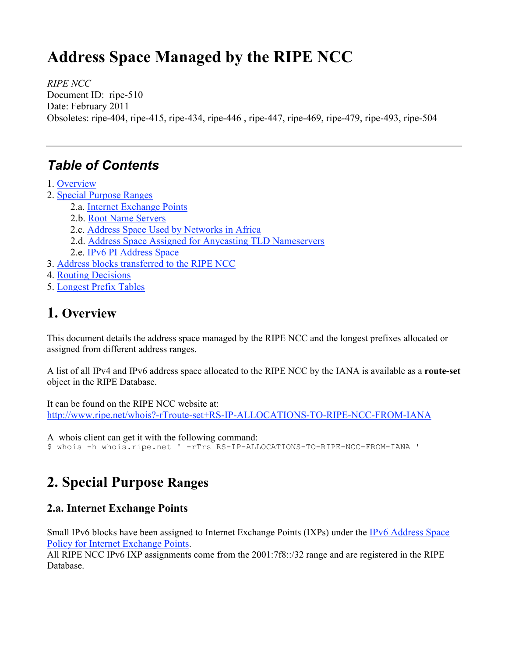# **Address Space Managed by the RIPE NCC**

*RIPE NCC* Document ID: ripe-510 Date: February 2011 Obsoletes: ripe-404, ripe-415, ripe-434, ripe-446 , ripe-447, ripe-469, ripe-479, ripe-493, ripe-504

## *Table of Contents*

- 1. Overview
- 2. Special Purpose Ranges
	- 2.a. Internet Exchange Points
	- 2.b. Root Name Servers
	- 2.c. Address Space Used by Networks in Africa
	- 2.d. Address Space Assigned for Anycasting TLD Nameservers
	- 2.e. IPv6 PI Address Space
- 3. Address blocks transferred to the RIPE NCC
- 4. Routing Decisions
- 5. Longest Prefix Tables

## **1. Overview**

This document details the address space managed by the RIPE NCC and the longest prefixes allocated or assigned from different address ranges.

A list of all IPv4 and IPv6 address space allocated to the RIPE NCC by the IANA is available as a **route-set**  object in the RIPE Database.

It can be found on the RIPE NCC website at: http://www.ripe.net/whois?-rTroute-set+RS-IP-ALLOCATIONS-TO-RIPE-NCC-FROM-IANA

A whois client can get it with the following command:

\$ whois -h whois.ripe.net ' -rTrs RS-IP-ALLOCATIONS-TO-RIPE-NCC-FROM-IANA '

## **2. Special Purpose Ranges**

#### **2.a. Internet Exchange Points**

Small IPv6 blocks have been assigned to Internet Exchange Points (IXPs) under the IPv6 Address Space Policy for Internet Exchange Points.

All RIPE NCC IPv6 IXP assignments come from the 2001:7f8::/32 range and are registered in the RIPE Database.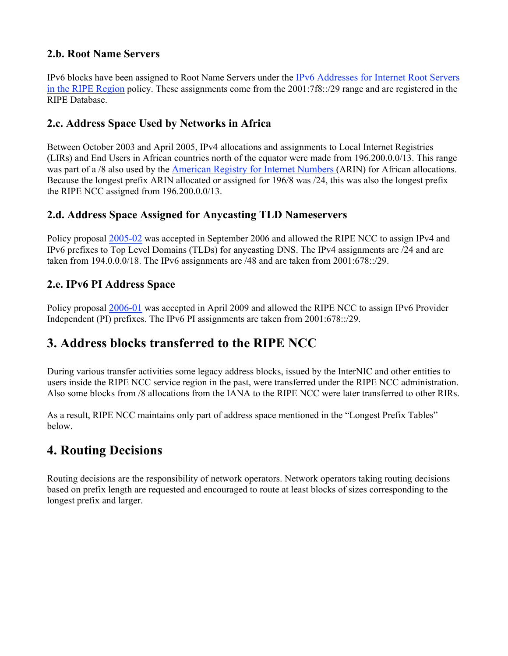#### **2.b. Root Name Servers**

IPv6 blocks have been assigned to Root Name Servers under the IPv6 Addresses for Internet Root Servers in the RIPE Region policy. These assignments come from the 2001:7f8::/29 range and are registered in the RIPE Database.

#### **2.c. Address Space Used by Networks in Africa**

Between October 2003 and April 2005, IPv4 allocations and assignments to Local Internet Registries (LIRs) and End Users in African countries north of the equator were made from 196.200.0.0/13. This range was part of a /8 also used by the American Registry for Internet Numbers (ARIN) for African allocations. Because the longest prefix ARIN allocated or assigned for 196/8 was /24, this was also the longest prefix the RIPE NCC assigned from 196.200.0.0/13.

#### **2.d. Address Space Assigned for Anycasting TLD Nameservers**

Policy proposal 2005-02 was accepted in September 2006 and allowed the RIPE NCC to assign IPv4 and IPv6 prefixes to Top Level Domains (TLDs) for anycasting DNS. The IPv4 assignments are /24 and are taken from 194.0.0.0/18. The IPv6 assignments are /48 and are taken from 2001:678::/29.

#### **2.e. IPv6 PI Address Space**

Policy proposal 2006-01 was accepted in April 2009 and allowed the RIPE NCC to assign IPv6 Provider Independent (PI) prefixes. The IPv6 PI assignments are taken from 2001:678::/29.

### **3. Address blocks transferred to the RIPE NCC**

During various transfer activities some legacy address blocks, issued by the InterNIC and other entities to users inside the RIPE NCC service region in the past, were transferred under the RIPE NCC administration. Also some blocks from /8 allocations from the IANA to the RIPE NCC were later transferred to other RIRs.

As a result, RIPE NCC maintains only part of address space mentioned in the "Longest Prefix Tables" below.

### **4. Routing Decisions**

Routing decisions are the responsibility of network operators. Network operators taking routing decisions based on prefix length are requested and encouraged to route at least blocks of sizes corresponding to the longest prefix and larger.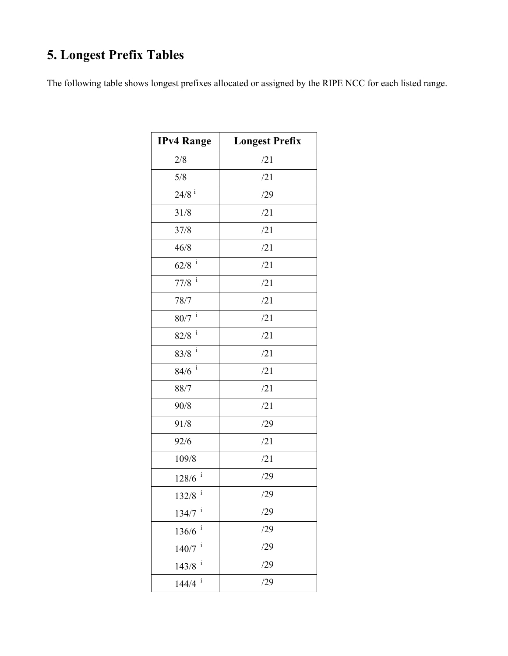# **5. Longest Prefix Tables**

The following table shows longest prefixes allocated or assigned by the RIPE NCC for each listed range.

| <b>IPv4 Range</b>    | <b>Longest Prefix</b> |
|----------------------|-----------------------|
| 2/8                  | /21                   |
| 5/8                  | /21                   |
| $24/8$ <sup>i</sup>  | /29                   |
| 31/8                 | /21                   |
| 37/8                 | /21                   |
| 46/8                 | /21                   |
| $\mathbf{i}$<br>62/8 | /21                   |
| $77/8$ <sup>i</sup>  | /21                   |
| 78/7                 | /21                   |
| $80/7$ <sup>i</sup>  | /21                   |
| $82/8$ <sup>i</sup>  | /21                   |
| $83/8$ $^{\rm i}$    | /21                   |
| $84/6$ <sup>i</sup>  | /21                   |
| 88/7                 | /21                   |
| 90/8                 | /21                   |
| 91/8                 | /29                   |
| 92/6                 | /21                   |
| 109/8                | /21                   |
| $128/6$ <sup>i</sup> | /29                   |
| $132/8$ <sup>i</sup> | /29                   |
| $134/7$ <sup>i</sup> | /29                   |
| i<br>136/6           | /29                   |
| i<br>140/7           | /29                   |
| i<br>143/8           | /29                   |
| i<br>144/4           | /29                   |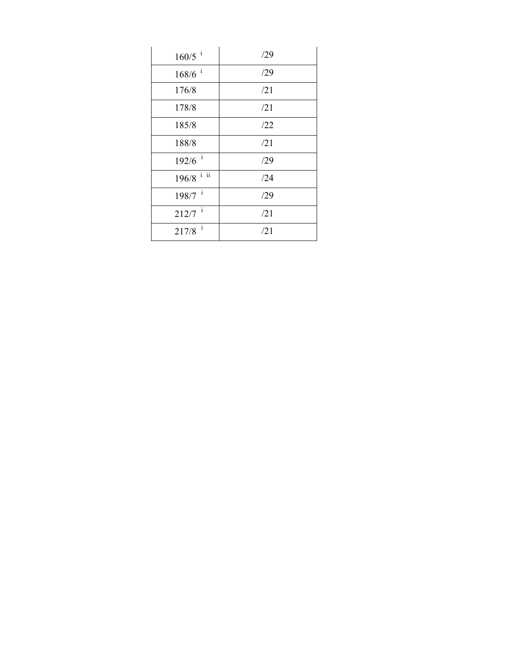| $160/5$ <sup>i</sup>           | /29 |
|--------------------------------|-----|
| $168/6$ <sup>i</sup>           | /29 |
| 176/8                          | /21 |
| 178/8                          | /21 |
| 185/8                          | /22 |
| 188/8                          | /21 |
| $192/6$ <sup>i</sup>           | /29 |
| $196/8$ $^{1}$ $\overline{11}$ | /24 |
| $198/7$ <sup>i</sup>           | /29 |
| $212/7$ <sup>i</sup>           | /21 |
| $\mathbf{i}$<br>217/8          | /21 |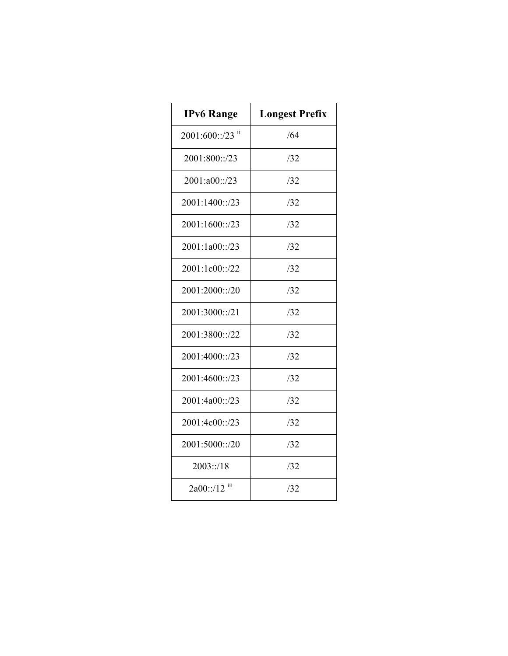| <b>IPv6 Range</b> | <b>Longest Prefix</b> |
|-------------------|-----------------------|
| 2001:600::/23 ii  | /64                   |
| 2001:800::/23     | /32                   |
| 2001:a00::/23     | /32                   |
| 2001:1400::/23    | /32                   |
| 2001:1600::/23    | /32                   |
| 2001:1a00::/23    | /32                   |
| 2001:1c00::/22    | /32                   |
| 2001:2000::/20    | /32                   |
| 2001:3000::/21    | /32                   |
| 2001:3800::/22    | /32                   |
| 2001:4000::/23    | /32                   |
| 2001:4600::/23    | /32                   |
| 2001:4a00::/23    | /32                   |
| 2001:4c00::/23    | /32                   |
| 2001:5000::/20    | 132                   |
| 2003::/18         | /32                   |
| $2a00::/12$ iii   | /32                   |